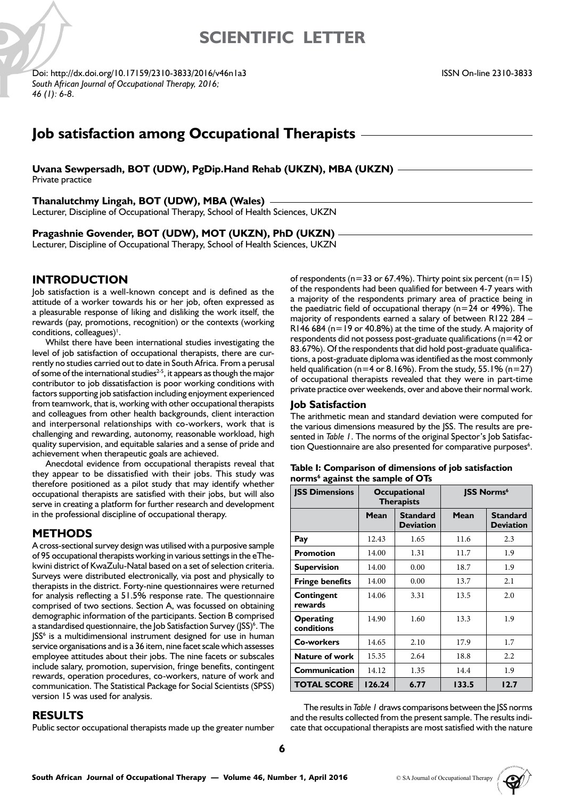# **SCIENTIFIC LETTER**

Doi: http://dx.doi.org/10.17159/2310-3833/2016/v46n1a3 *South African Journal of Occupational Therapy, 2016; 46 (1): 6-8*.

# **Job satisfaction among Occupational Therapists**

**Uvana Sewpersadh, BOT (UDW), PgDip.Hand Rehab (UKZN), MBA (UKZN)**

Private practice

#### **Thanalutchmy Lingah, BOT (UDW), MBA (Wales)**

Lecturer, Discipline of Occupational Therapy, School of Health Sciences, UKZN

## **Pragashnie Govender, BOT (UDW), MOT (UKZN), PhD (UKZN)**

Lecturer, Discipline of Occupational Therapy, School of Health Sciences, UKZN

## **INTRODUCTION**

Job satisfaction is a well-known concept and is defined as the attitude of a worker towards his or her job, often expressed as a pleasurable response of liking and disliking the work itself, the rewards (pay, promotions, recognition) or the contexts (working conditions, colleagues)<sup>1</sup>.

Whilst there have been international studies investigating the level of job satisfaction of occupational therapists, there are currently no studies carried out to date in South Africa. From a perusal of some of the international studies<sup> $2-5$ </sup>, it appears as though the major contributor to job dissatisfaction is poor working conditions with factors supporting job satisfaction including enjoyment experienced from teamwork, that is, working with other occupational therapists and colleagues from other health backgrounds, client interaction and interpersonal relationships with co-workers, work that is challenging and rewarding, autonomy, reasonable workload, high quality supervision, and equitable salaries and a sense of pride and achievement when therapeutic goals are achieved.

Anecdotal evidence from occupational therapists reveal that they appear to be dissatisfied with their jobs. This study was therefore positioned as a pilot study that may identify whether occupational therapists are satisfied with their jobs, but will also serve in creating a platform for further research and development in the professional discipline of occupational therapy.

## **METHODS**

A cross-sectional survey design was utilised with a purposive sample of 95 occupational therapists working in various settings in the eThekwini district of KwaZulu-Natal based on a set of selection criteria. Surveys were distributed electronically, via post and physically to therapists in the district. Forty-nine questionnaires were returned for analysis reflecting a 51.5% response rate. The questionnaire comprised of two sections. Section A, was focussed on obtaining demographic information of the participants. Section B comprised a standardised questionnaire, the Job Satisfaction Survey (JSS)<sup>6</sup>. The JSS<sup>6</sup> is a multidimensional instrument designed for use in human service organisations and is a 36 item, nine facet scale which assesses employee attitudes about their jobs. The nine facets or subscales include salary, promotion, supervision, fringe benefits, contingent rewards, operation procedures, co-workers, nature of work and communication. The Statistical Package for Social Scientists (SPSS) version 15 was used for analysis.

## **RESULTS**

Public sector occupational therapists made up the greater number

of respondents ( $n=33$  or 67.4%). Thirty point six percent ( $n=15$ ) of the respondents had been qualified for between 4-7 years with a majority of the respondents primary area of practice being in the paediatric field of occupational therapy ( $n=24$  or 49%). The majority of respondents earned a salary of between R122 284 – R146 684 ( $n=19$  or 40.8%) at the time of the study. A majority of respondents did not possess post-graduate qualifications (n=42 or 83.67%). Of the respondents that did hold post-graduate qualifications, a post-graduate diploma was identified as the most commonly held qualification (n=4 or 8.16%). From the study, 55.1% (n=27) of occupational therapists revealed that they were in part-time private practice over weekends, over and above their normal work.

### **Job Satisfaction**

The arithmetic mean and standard deviation were computed for the various dimensions measured by the JSS. The results are presented in *Table 1*. The norms of the original Spector's Job Satisfaction Questionnaire are also presented for comparative purposes<sup>6</sup>.

| Table I: Comparison of dimensions of job satisfaction |  |
|-------------------------------------------------------|--|
| norms <sup>6</sup> against the sample of OTs          |  |

| <b>ISS Dimensions</b>          | Occupational<br><b>Therapists</b> |                                     | <b>JSS Norms</b> <sup>6</sup> |                                     |
|--------------------------------|-----------------------------------|-------------------------------------|-------------------------------|-------------------------------------|
|                                | Mean                              | <b>Standard</b><br><b>Deviation</b> | Mean                          | <b>Standard</b><br><b>Deviation</b> |
| Pay                            | 12.43                             | 1.65                                | 11.6                          | 2.3                                 |
| <b>Promotion</b>               | 14.00                             | 1.31                                | 11.7                          | 1.9                                 |
| <b>Supervision</b>             | 14.00                             | 0.00                                | 18.7                          | 1.9                                 |
| <b>Fringe benefits</b>         | 14.00                             | 0.00                                | 13.7                          | 2.1                                 |
| <b>Contingent</b><br>rewards   | 14.06                             | 3.31                                | 13.5                          | 2.0                                 |
| <b>Operating</b><br>conditions | 14.90                             | 1.60                                | 13.3                          | 1.9                                 |
| Co-workers                     | 14.65                             | 2.10                                | 17.9                          | 1.7                                 |
| <b>Nature of work</b>          | 15.35                             | 2.64                                | 18.8                          | 2.2                                 |
| Communication                  | 14.12                             | 1.35                                | 14.4                          | 1.9                                 |
| <b>TOTAL SCORE</b>             | 126.24                            | 6.77                                | 133.5                         | 12.7                                |

The results in *Table 1* draws comparisons between the JSS norms and the results collected from the present sample. The results indicate that occupational therapists are most satisfied with the nature

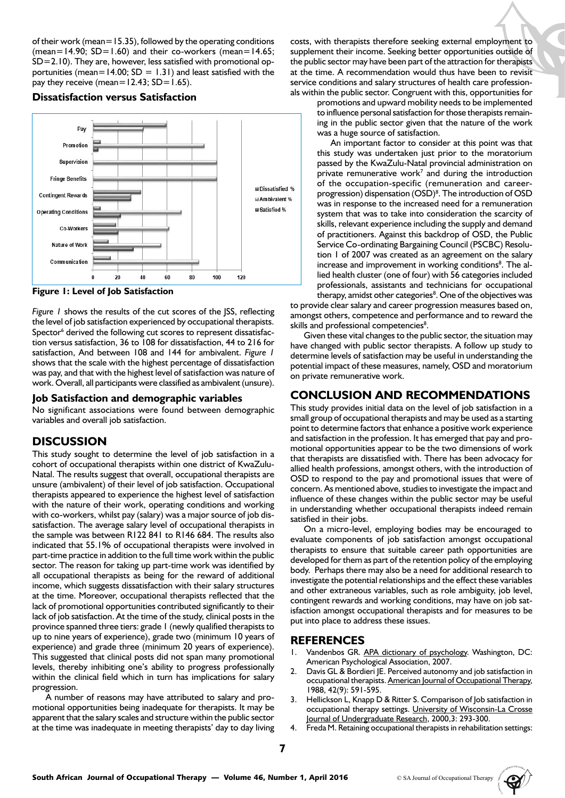of their work (mean=15.35), followed by the operating conditions (mean=14.90;  $SD=1.60$ ) and their co-workers (mean=14.65; SD=2.10). They are, however, less satisfied with promotional opportunities (mean=14.00;  $SD = 1.31$ ) and least satisfied with the pay they receive (mean= $12.43$ ; SD= $1.65$ ).

**Dissatisfaction versus Satisfaction**



**Figure 1: Level of Job Satisfaction**

*Figure 1* shows the results of the cut scores of the JSS, reflecting the level of job satisfaction experienced by occupational therapists. Spector<sup>6</sup> derived the following cut scores to represent dissatisfaction versus satisfaction, 36 to 108 for dissatisfaction, 44 to 216 for satisfaction, And between 108 and 144 for ambivalent. *Figure 1*  shows that the scale with the highest percentage of dissatisfaction was pay, and that with the highest level of satisfaction was nature of work. Overall, all participants were classified as ambivalent (unsure).

#### **Job Satisfaction and demographic variables**

No significant associations were found between demographic variables and overall job satisfaction.

## **DISCUSSION**

This study sought to determine the level of job satisfaction in a cohort of occupational therapists within one district of KwaZulu-Natal. The results suggest that overall, occupational therapists are unsure (ambivalent) of their level of job satisfaction. Occupational therapists appeared to experience the highest level of satisfaction with the nature of their work, operating conditions and working with co-workers, whilst pay (salary) was a major source of job dissatisfaction. The average salary level of occupational therapists in the sample was between R122 841 to R146 684. The results also indicated that 55.1% of occupational therapists were involved in part-time practice in addition to the full time work within the public sector. The reason for taking up part-time work was identified by all occupational therapists as being for the reward of additional income, which suggests dissatisfaction with their salary structures at the time. Moreover, occupational therapists reflected that the lack of promotional opportunities contributed significantly to their lack of job satisfaction. At the time of the study, clinical posts in the province spanned three tiers: grade 1 (newly qualified therapists to up to nine years of experience), grade two (minimum 10 years of experience) and grade three (minimum 20 years of experience). This suggested that clinical posts did not span many promotional levels, thereby inhibiting one's ability to progress professionally within the clinical field which in turn has implications for salary progression.

A number of reasons may have attributed to salary and promotional opportunities being inadequate for therapists. It may be apparent that the salary scales and structure within the public sector at the time was inadequate in meeting therapists' day to day living costs, with therapists therefore seeking external employment to supplement their income. Seeking better opportunities outside of the public sector may have been part of the attraction for therapists at the time. A recommendation would thus have been to revisit service conditions and salary structures of health care professionals within the public sector. Congruent with this, opportunities for

> promotions and upward mobility needs to be implemented to influence personal satisfaction for those therapists remaining in the public sector given that the nature of the work was a huge source of satisfaction.

> An important factor to consider at this point was that this study was undertaken just prior to the moratorium passed by the KwaZulu-Natal provincial administration on private remunerative work<sup>7</sup> and during the introduction of the occupation-specific (remuneration and careerprogression) dispensation (OSD)<sup>8</sup>. The introduction of OSD was in response to the increased need for a remuneration system that was to take into consideration the scarcity of skills, relevant experience including the supply and demand of practitioners. Against this backdrop of OSD, the Public Service Co-ordinating Bargaining Council (PSCBC) Resolution 1 of 2007 was created as an agreement on the salary increase and improvement in working conditions<sup>8</sup>. The allied health cluster (one of four) with 56 categories included professionals, assistants and technicians for occupational therapy, amidst other categories<sup>8</sup>. One of the objectives was

to provide clear salary and career progression measures based on, amongst others, competence and performance and to reward the skills and professional competencies<sup>8</sup>.

Given these vital changes to the public sector, the situation may have changed with public sector therapists. A follow up study to determine levels of satisfaction may be useful in understanding the potential impact of these measures, namely, OSD and moratorium on private remunerative work.

# **CONCLUSION AND RECOMMENDATIONS**

This study provides initial data on the level of job satisfaction in a small group of occupational therapists and may be used as a starting point to determine factors that enhance a positive work experience and satisfaction in the profession. It has emerged that pay and promotional opportunities appear to be the two dimensions of work that therapists are dissatisfied with. There has been advocacy for allied health professions, amongst others, with the introduction of OSD to respond to the pay and promotional issues that were of concern. As mentioned above, studies to investigate the impact and influence of these changes within the public sector may be useful in understanding whether occupational therapists indeed remain satisfied in their jobs.

On a micro-level, employing bodies may be encouraged to evaluate components of job satisfaction amongst occupational therapists to ensure that suitable career path opportunities are developed for them as part of the retention policy of the employing body. Perhaps there may also be a need for additional research to investigate the potential relationships and the effect these variables and other extraneous variables, such as role ambiguity, job level, contingent rewards and working conditions, may have on job satisfaction amongst occupational therapists and for measures to be put into place to address these issues.

## **REFERENCES**

- 1. Vandenbos GR. APA dictionary of psychology. Washington, DC: American Psychological Association, 2007.
- 2. Davis GL & Bordieri JE. Perceived autonomy and job satisfaction in occupational therapists. American Journal of Occupational Therapy, 1988, 42(9): 591-595.
- 3. Hellickson L, Knapp D & Ritter S. Comparison of Job satisfaction in occupational therapy settings. University of Wisconsin-La Crosse Journal of Undergraduate Research, 2000,3: 293-300.
- Freda M. Retaining occupational therapists in rehabilitation settings: